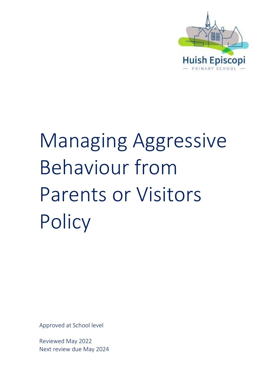

# Managing Aggressive Behaviour from Parents or Visitors **Policy**

Approved at School level

Reviewed May 2022 Next review due May 2024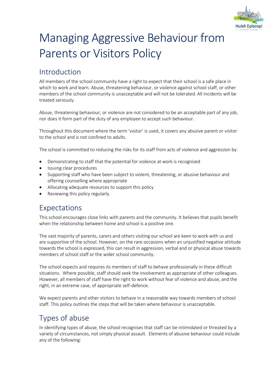

## Managing Aggressive Behaviour from Parents or Visitors Policy

### Introduction

All members of the school community have a right to expect that their school is a safe place in which to work and learn. Abuse, threatening behaviour, or violence against school staff, or other members of the school community is unacceptable and will not be tolerated. All incidents will be treated seriously.

Abuse, threatening behaviour, or violence are not considered to be an acceptable part of any job, nor does it form part of the duty of any employee to accept such behaviour.

Throughout this document where the term 'visitor' is used, it covers any abusive parent or visitor to the school and is not confined to adults.

The school is committed to reducing the risks for its staff from acts of violence and aggression by:

- Demonstrating to staff that the potential for violence at work is recognised
- Issuing clear procedures
- Supporting staff who have been subject to violent, threatening, or abusive behaviour and offering counselling where appropriate
- Allocating adequate resources to support this policy
- Reviewing this policy regularly.

#### Expectations

This school encourages close links with parents and the community. It believes that pupils benefit when the relationship between home and school is a positive one.

The vast majority of parents, carers and others visiting our school are keen to work with us and are supportive of the school. However, on the rare occasions when an unjustified negative attitude towards the school is expressed, this can result in aggression, verbal and or physical abuse towards members of school staff or the wider school community.

The school expects and requires its members of staff to behave professionally in these difficult situations. Where possible, staff should seek the involvement as appropriate of other colleagues. However, all members of staff have the right to work without fear of violence and abuse, and the right, in an extreme case, of appropriate self-defence.

We expect parents and other visitors to behave in a reasonable way towards members of school staff. This policy outlines the steps that will be taken where behaviour is unacceptable.

#### Types of abuse

In identifying types of abuse, the school recognises that staff can be intimidated or threated by a variety of circumstances, not simply physical assault. Elements of abusive behaviour could include any of the following: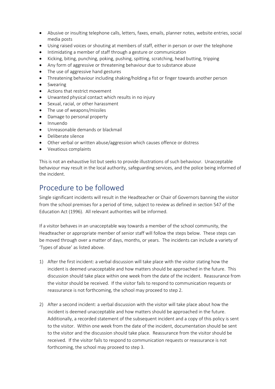- Abusive or insulting telephone calls, letters, faxes, emails, planner notes, website entries, social media posts
- Using raised voices or shouting at members of staff, either in person or over the telephone
- Intimidating a member of staff through a gesture or communication
- Kicking, biting, punching, poking, pushing, spitting, scratching, head butting, tripping
- Any form of aggressive or threatening behaviour due to substance abuse
- The use of aggressive hand gestures
- Threatening behaviour including shaking/holding a fist or finger towards another person
- **Swearing**
- Actions that restrict movement
- Unwanted physical contact which results in no injury
- Sexual, racial, or other harassment
- The use of weapons/missiles
- Damage to personal property
- Innuendo
- Unreasonable demands or blackmail
- Deliberate silence
- Other verbal or written abuse/aggression which causes offence or distress
- Vexatious complaints

This is not an exhaustive list but seeks to provide illustrations of such behaviour. Unacceptable behaviour may result in the local authority, safeguarding services, and the police being informed of the incident.

#### Procedure to be followed

Single significant incidents will result in the Headteacher or Chair of Governors banning the visitor from the school premises for a period of time, subject to review as defined in section 547 of the Education Act (1996). All relevant authorities will be informed.

If a visitor behaves in an unacceptable way towards a member of the school community, the Headteacher or appropriate member of senior staff will follow the steps below. These steps can be moved through over a matter of days, months, or years. The incidents can include a variety of 'Types of abuse' as listed above.

- 1) After the first incident: a verbal discussion will take place with the visitor stating how the incident is deemed unacceptable and how matters should be approached in the future. This discussion should take place within one week from the date of the incident. Reassurance from the visitor should be received. If the visitor fails to respond to communication requests or reassurance is not forthcoming, the school may proceed to step 2.
- 2) After a second incident: a verbal discussion with the visitor will take place about how the incident is deemed unacceptable and how matters should be approached in the future. Additionally, a recorded statement of the subsequent incident and a copy of this policy is sent to the visitor. Within one week from the date of the incident, documentation should be sent to the visitor and the discussion should take place. Reassurance from the visitor should be received. If the visitor fails to respond to communication requests or reassurance is not forthcoming, the school may proceed to step 3.